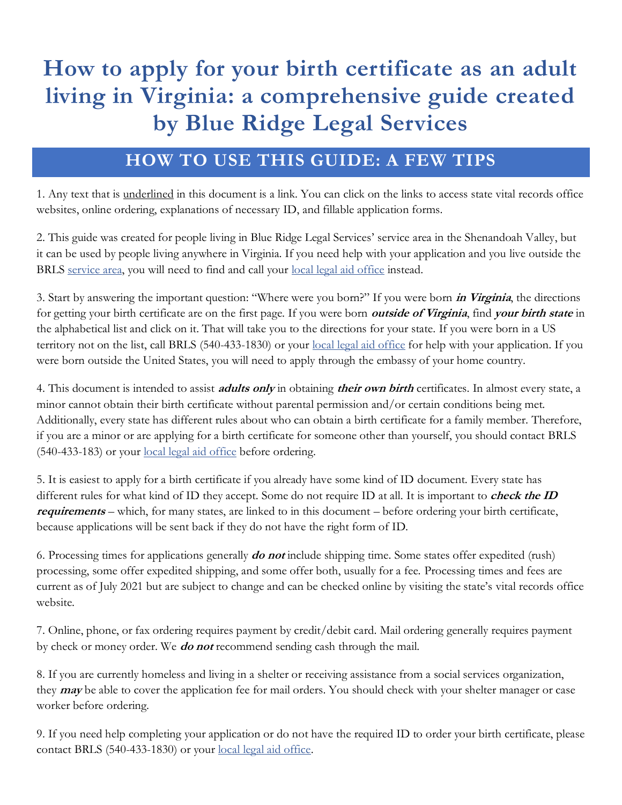# **How to apply for your birth certificate as an adult living in Virginia: a comprehensive guide created by Blue Ridge Legal Services**

### **HOW TO USE THIS GUIDE: A FEW TIPS**

1. Any text that is underlined in this document is a link. You can click on the links to access state vital records office websites, online ordering, explanations of necessary ID, and fillable application forms.

2. This guide was created for people living in Blue Ridge Legal Services' service area in the Shenandoah Valley, but it can be used by people living anywhere in Virginia. If you need help with your application and you live outside the BRLS [service area,](http://brls.org/brls-service-area/) you will need to find and call your [local legal aid office](https://virginia.freelegalanswers.org/OtherHelp) instead.

3. Start by answering the important question: "Where were you born?" If you were born **in Virginia**, the directions for getting your birth certificate are on the first page. If you were born **outside of Virginia**, find **your birth state** in the alphabetical list and click on it. That will take you to the directions for your state. If you were born in a US territory not on the list, call BRLS (540-433-1830) or your [local legal aid office](https://virginia.freelegalanswers.org/OtherHelp) for help with your application. If you were born outside the United States, you will need to apply through the embassy of your home country.

4. This document is intended to assist **adults only** in obtaining **their own birth** certificates. In almost every state, a minor cannot obtain their birth certificate without parental permission and/or certain conditions being met. Additionally, every state has different rules about who can obtain a birth certificate for a family member. Therefore, if you are a minor or are applying for a birth certificate for someone other than yourself, you should contact BRLS (540-433-183) or your <u>local legal aid office</u> before ordering.

5. It is easiest to apply for a birth certificate if you already have some kind of ID document. Every state has different rules for what kind of ID they accept. Some do not require ID at all. It is important to **check the ID requirements** – which, for many states, are linked to in this document – before ordering your birth certificate, because applications will be sent back if they do not have the right form of ID.

6. Processing times for applications generally **do not** include shipping time. Some states offer expedited (rush) processing, some offer expedited shipping, and some offer both, usually for a fee. Processing times and fees are current as of July 2021 but are subject to change and can be checked online by visiting the state's vital records office website.

7. Online, phone, or fax ordering requires payment by credit/debit card. Mail ordering generally requires payment by check or money order. We **do not** recommend sending cash through the mail.

8. If you are currently homeless and living in a shelter or receiving assistance from a social services organization, they **may** be able to cover the application fee for mail orders. You should check with your shelter manager or case worker before ordering.

9. If you need help completing your application or do not have the required ID to order your birth certificate, please contact BRLS (540-433-1830) or your [local legal aid office.](https://virginia.freelegalanswers.org/OtherHelp)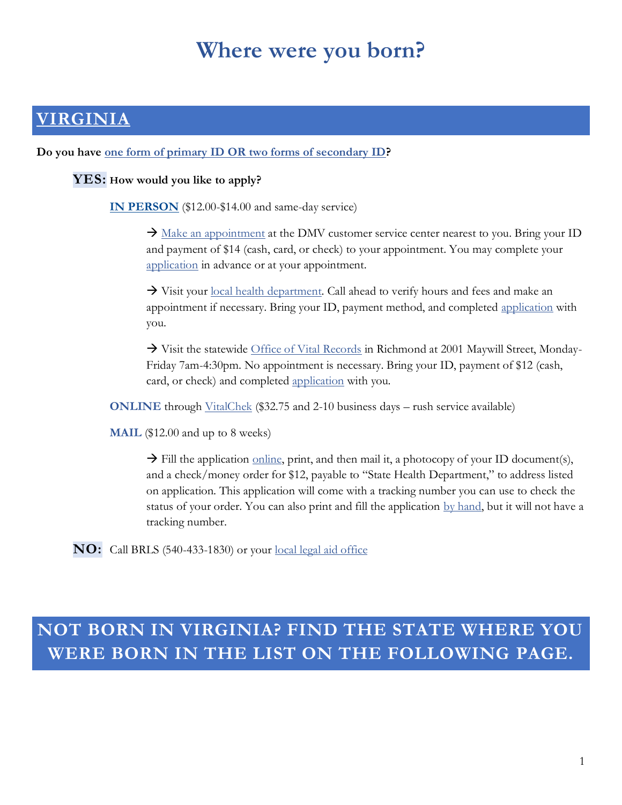# **Where were you born?**

### **[VIRGINIA](https://www.vdh.virginia.gov/vital-records/applications-for-a-vital-record/)**

**Do you have [one form of primary ID OR two forms of secondary ID?](https://www.vdh.virginia.gov/vital-records/id-requirements/)**

#### **YES: How would you like to apply?**

**[IN PERSON](https://www.dmv.virginia.gov/general/#vital.asp)** (\$12.00-\$14.00 and same-day service)

 $\rightarrow$  [Make an appointment](https://www.dmv.virginia.gov/general/#appointments.asp) at the DMV customer service center nearest to you. Bring your ID and payment of \$14 (cash, card, or check) to your appointment. You may complete your [application](https://www.dmv.virginia.gov/webdoc/pdf/dl81.pdf) in advance or at your appointment.

→ Visit your [local health department.](https://www.vdh.virginia.gov/local-health-districts/) Call ahead to verify hours and fees and make an appointment if necessary. Bring your ID, payment method, and completed [application](https://vr-fhs.vdh.virginia.gov/vvestsapps/f?p=140:1) with you.

 $\rightarrow$  Visit the statewide [Office of Vital Records](https://www.vdh.virginia.gov/vital-records/vital-record-walk-in-locations/) in Richmond at 2001 Maywill Street, Monday-Friday 7am-4:30pm. No appointment is necessary. Bring your ID, payment of \$12 (cash, card, or check) and completed [application](https://vr-fhs.vdh.virginia.gov/vvestsapps/f?p=140:1) with you.

**ONLINE** through [VitalChek](https://vitalchek.com/vital-records/virginia/virginia-department-of-health) (\$32.75 and 2-10 business days – rush service available)

**MAIL** (\$12.00 and up to 8 weeks)

 $\rightarrow$  Fill the application <u>online</u>, print, and then mail it, a photocopy of your ID document(s), and a check/money order for \$12, payable to "State Health Department," to address listed on application. This application will come with a tracking number you can use to check the status of your order. You can also print and fill the application [by hand,](https://www.vdh.virginia.gov/content/uploads/sites/93/2020/07/VS6B_Birth-application.pdf) but it will not have a tracking number.

**NO:** Call BRLS (540-433-1830) or your [local legal aid office](https://virginia.freelegalanswers.org/OtherHelp)

# **NOT BORN IN VIRGINIA? FIND THE STATE WHERE YOU WERE BORN IN THE LIST ON THE FOLLOWING PAGE.**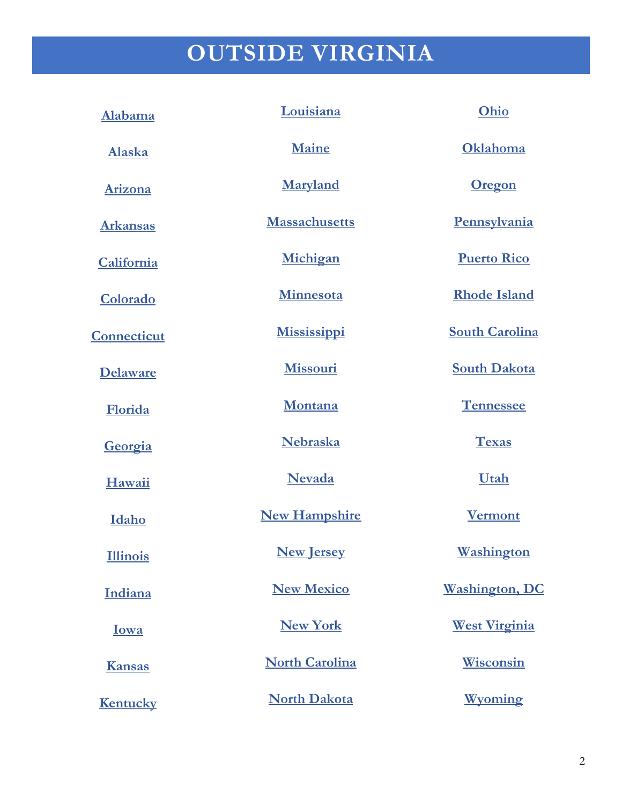# **OUTSIDE VIRGINIA**

| Alabama            | Louisiana             | Ohio                  |
|--------------------|-----------------------|-----------------------|
| <b>Alaska</b>      | <b>Maine</b>          | Oklahoma              |
| Arizona            | <b>Maryland</b>       | <b>Oregon</b>         |
| <b>Arkansas</b>    | <b>Massachusetts</b>  | Pennsylvania          |
| California         | Michigan              | <b>Puerto Rico</b>    |
| Colorado           | Minnesota             | <b>Rhode Island</b>   |
| <b>Connecticut</b> | <b>Mississippi</b>    | <b>South Carolina</b> |
| <b>Delaware</b>    | Missouri              | <b>South Dakota</b>   |
| Florida            | Montana               | <b>Tennessee</b>      |
| Georgia            | Nebraska              | <b>Texas</b>          |
| Hawaii             | <b>Nevada</b>         | Utah                  |
| Idaho              | <b>New Hampshire</b>  | <b>Vermont</b>        |
| <b>Illinois</b>    | <b>New Jersey</b>     | <u>Washington</u>     |
| Indiana            | <b>New Mexico</b>     | <b>Washington, DC</b> |
| Iowa               | <b>New York</b>       | <b>West Virginia</b>  |
| <b>Kansas</b>      | <b>North Carolina</b> | <b>Wisconsin</b>      |
| Kentucky           | <b>North Dakota</b>   | Wyoming               |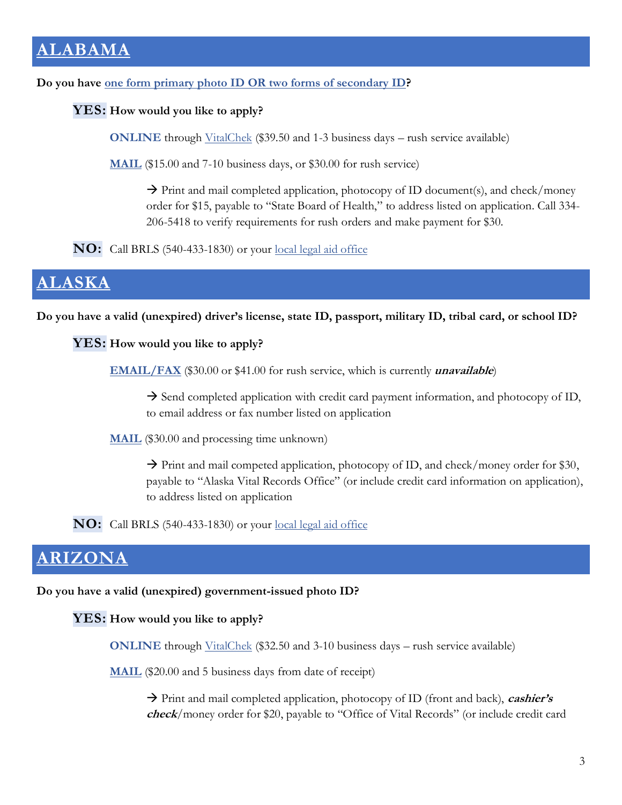# <span id="page-3-0"></span>**[ALABAMA](https://www.alabamapublichealth.gov/vitalrecords/birth-certificates.html)**

**Do you have [one form primary photo ID](https://www.alabamapublichealth.gov/vitalrecords/id-requirements.html) OR two forms of secondary ID?**

### **YES: How would you like to apply?**

**ONLINE** through [VitalChek](https://www.vitalchek.com/birth-certificates/alabama/alabama-vital-records) (\$39.50 and 1-3 business days – rush service available)

**[MAIL](https://www.alabamapublichealth.gov/vitalrecords/assets/hs14eng.pdf)** (\$15.00 and 7-10 business days, or \$30.00 for rush service)

 $\rightarrow$  Print and mail completed application, photocopy of ID document(s), and check/money order for \$15, payable to "State Board of Health," to address listed on application. Call 334- 206-5418 to verify requirements for rush orders and make payment for \$30.

**NO:** Call BRLS (540-433-1830) or your [local legal aid office](https://virginia.freelegalanswers.org/OtherHelp)

### <span id="page-3-1"></span>**[ALASKA](https://alaska.staterecords.org/vital.php)**

**Do you have a valid (unexpired) driver's license, state ID, passport, military ID, tribal card, or school ID?**

#### **YES: How would you like to apply?**

**[EMAIL/FAX](http://dhss.alaska.gov/dph/vitalstats/documents/births/birth_form.pdf)** (\$30.00 or \$41.00 for rush service, which is currently **unavailable**)

 $\rightarrow$  Send completed application with credit card payment information, and photocopy of ID, to email address or fax number listed on application

**[MAIL](http://dhss.alaska.gov/dph/vitalstats/documents/births/birth_form.pdf)** (\$30.00 and processing time unknown)

 $\rightarrow$  Print and mail competed application, photocopy of ID, and check/money order for \$30, payable to "Alaska Vital Records Office" (or include credit card information on application), to address listed on application

**NO:** Call BRLS (540-433-1830) or your [local legal aid office](https://virginia.freelegalanswers.org/OtherHelp)

### <span id="page-3-2"></span>**[ARIZONA](https://azdhs.gov/licensing/vital-records/index.php#birth-certificates-apply)**

**Do you have a valid (unexpired) government-issued photo ID?**

**YES: How would you like to apply?**

**ONLINE** through [VitalChek](https://www.vitalchek.com/birth-certificates/arizona/arizona-vital-records) (\$32.50 and 3-10 business days – rush service available)

**[MAIL](https://azdhs.gov/documents/licensing/vital-records/application-certificate-birth.pdf)** (\$20.00 and 5 business days from date of receipt)

→ Print and mail completed application, photocopy of ID (front and back), **cashier'<sup>s</sup> check**/money order for \$20, payable to "Office of Vital Records" (or include credit card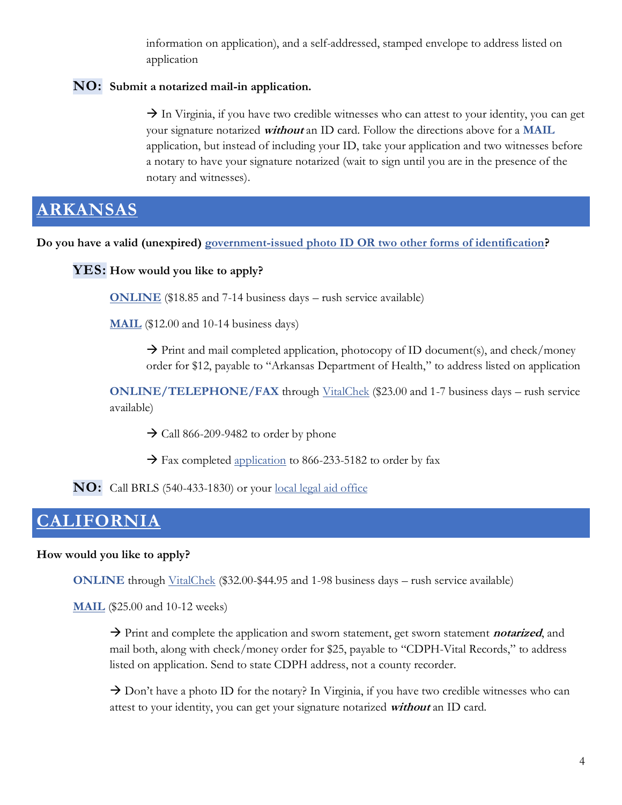information on application), and a self-addressed, stamped envelope to address listed on application

### **NO: Submit a notarized mail-in application.**

 $\rightarrow$  In Virginia, if you have two credible witnesses who can attest to your identity, you can get your signature notarized **without** an ID card. Follow the directions above for a **MAIL** application, but instead of including your ID, take your application and two witnesses before a notary to have your signature notarized (wait to sign until you are in the presence of the notary and witnesses).

### <span id="page-4-0"></span>**[ARKANSAS](https://www.healthy.arkansas.gov/programs-services/topics/order-birth-records)**

**Do you have a valid (unexpired) government-issued photo ID OR [two other forms of identification?](https://www.healthy.arkansas.gov/images/uploads/pdf/RESOURCE_-_ID_Requirements_-_ENGLISH.pdf)**

**YES: How would you like to apply?**

**[ONLINE](https://vitalrecords.egov.com/CDC.VitalRecordsMVC.Web/Wizard/AR/Municipality/SelectMunicipality)** (\$18.85 and 7-14 business days – rush service available)

**[MAIL](https://www.healthy.arkansas.gov/images/uploads/pdf/Birth_Certificate_Application_Recommendations.pdf)** (\$12.00 and 10-14 business days)

 $\rightarrow$  Print and mail completed application, photocopy of ID document(s), and check/money order for \$12, payable to "Arkansas Department of Health," to address listed on application

**ONLINE/TELEPHONE/FAX** through [VitalChek](https://www.vitalchek.com/birth-certificates/arkansas/arkansas-vital-records) (\$23.00 and 1-7 business days – rush service available)

- $\rightarrow$  Call 866-209-9482 to order by phone
- $\rightarrow$  Fax completed [application](https://www.vitalchek.com/fax-phone/faxphone.aspx?pid=2862&prod_id=14089) to 866-233-5182 to order by fax

**NO:** Call BRLS (540-433-1830) or your [local legal aid office](https://virginia.freelegalanswers.org/OtherHelp)

### <span id="page-4-1"></span>**[CALIFORNIA](https://www.cdph.ca.gov/Programs/CHSI/Pages/Vital-Records-Obtaining-Certified-Copies-of-Birth-Records.aspx)**

### **How would you like to apply?**

**ONLINE** through *VitalChek* (\$32.00-\$44.95 and 1-98 business days – rush service available)

**[MAIL](https://www.cdph.ca.gov/Programs/CHSI/SiteAssets/Pages/Sworn-Statement/VS111.pdf)** (\$25.00 and 10-12 weeks)

→ Print and complete the application and sworn statement, get sworn statement **notarized**, and mail both, along with check/money order for \$25, payable to "CDPH-Vital Records," to address listed on application. Send to state CDPH address, not a county recorder.

 $\rightarrow$  Don't have a photo ID for the notary? In Virginia, if you have two credible witnesses who can attest to your identity, you can get your signature notarized **without** an ID card.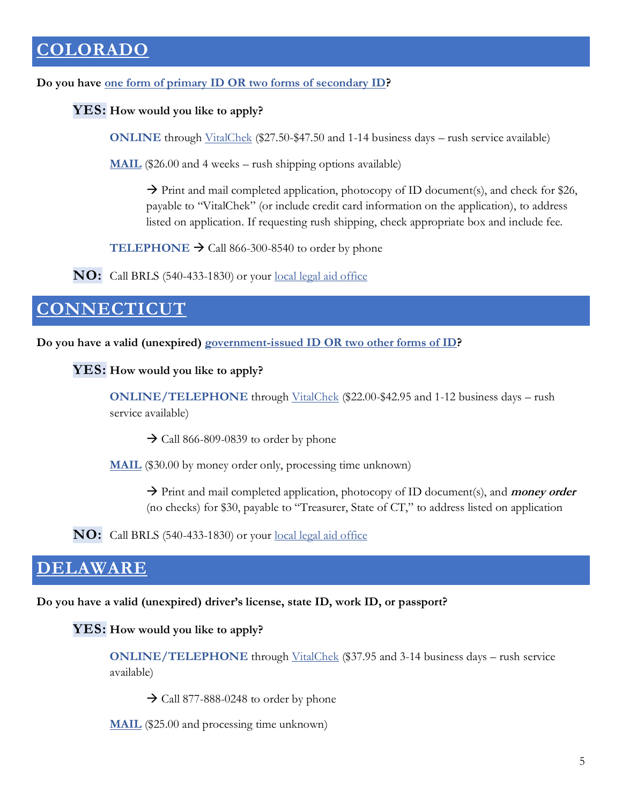# <span id="page-5-0"></span>**[COLORADO](https://cdphe.colorado.gov/order-a-birth-certificate)**

**Do you have [one form of primary ID OR two forms of secondary ID?](https://drive.google.com/file/d/1CHdd8pnVD_VkGU63qYP399AXmHExDX3w/view)**

### **YES: How would you like to apply?**

**ONLINE** through [VitalChek](https://www.vitalchek.com/birth-certificates/colorado/colorado-vital-records-section) (\$27.50-\$47.50 and 1-14 business days – rush service available)

**[MAIL](https://drive.google.com/file/d/1Fjg8nxxIbJEM1BgZyBws_3-j4NztjwOd/view)** (\$26.00 and 4 weeks – rush shipping options available)

 $\rightarrow$  Print and mail completed application, photocopy of ID document(s), and check for \$26, payable to "VitalChek" (or include credit card information on the application), to address listed on application. If requesting rush shipping, check appropriate box and include fee.

**TELEPHONE**  $\rightarrow$  Call 866-300-8540 to order by phone

**NO:** Call BRLS (540-433-1830) or your <u>local legal aid office</u>

# <span id="page-5-1"></span>**[CONNECTICUT](https://portal.ct.gov/DPH/Vital-Records/Birth-Certificates)**

**Do you have a valid (unexpired) [government-issued ID OR two other forms of ID?](https://portal.ct.gov/DPH/Vital-Records/Birth-Certificates)**

**YES: How would you like to apply?**

**ONLINE/TELEPHONE** through [VitalChek](https://www.vitalchek.com/birth-certificates/connecticut/connecticut-dept-of-public-health) (\$22.00-\$42.95 and 1-12 business days – rush service available)

 $\rightarrow$  Call 866-809-0839 to order by phone

**[MAIL](https://portal.ct.gov/-/media/Departments-and-Agencies/DPH/hisr/VR/Birth-Cert-Request-form_State-Rev-5-2021.doc)** (\$30.00 by money order only, processing time unknown)

→ Print and mail completed application, photocopy of ID document(s), and **money order** (no checks) for \$30, payable to "Treasurer, State of CT," to address listed on application

**NO:** Call BRLS (540-433-1830) or your [local legal aid office](https://virginia.freelegalanswers.org/OtherHelp)

# <span id="page-5-2"></span>**[DELAWARE](https://www.dhss.delaware.gov/dhss/dph/ss/vitalstats.html)**

**Do you have a valid (unexpired) driver's license, state ID, work ID, or passport?**

### **YES: How would you like to apply?**

**ONLINE/TELEPHONE** through [VitalChek](https://www.vitalchek.com/birth-certificates/delaware/delaware-vital-records-georgetown) (\$37.95 and 3-14 business days – rush service available)

 $\rightarrow$  Call 877-888-0248 to order by phone

**[MAIL](https://www.dhss.delaware.gov/dhss/dph/ss/files/birth.pdf)** (\$25.00 and processing time unknown)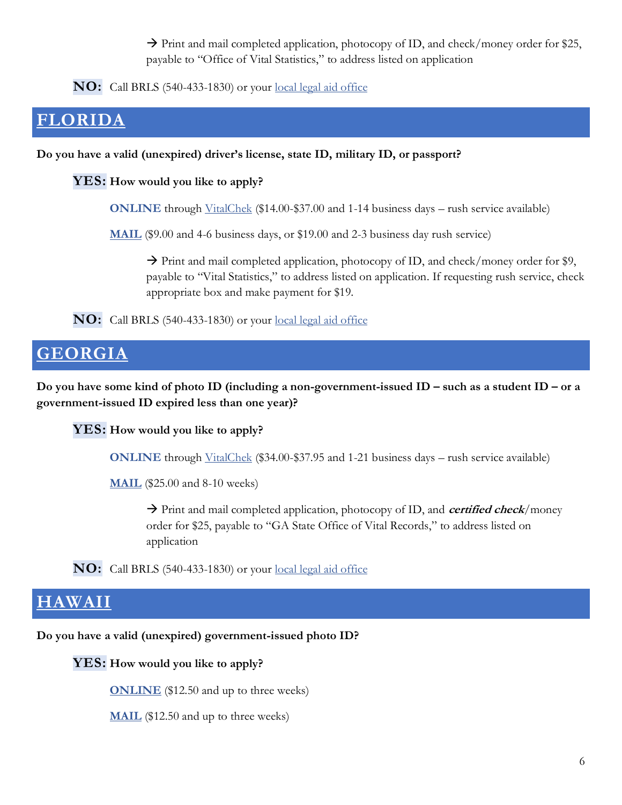$\rightarrow$  Print and mail completed application, photocopy of ID, and check/money order for \$25, payable to "Office of Vital Statistics," to address listed on application

**NO:** Call BRLS (540-433-1830) or your [local legal aid office](https://virginia.freelegalanswers.org/OtherHelp)

### <span id="page-6-0"></span>**[FLORIDA](http://www.floridahealth.gov/certificates/certificates/birth/index.html)**

**Do you have a valid (unexpired) driver's license, state ID, military ID, or passport?**

**YES: How would you like to apply?**

**ONLINE** through [VitalChek](https://www.vitalchek.com/birth-certificates/florida/florida-vital-statistics) (\$14.00-\$37.00 and 1-14 business days – rush service available)

**[MAIL](http://www.floridahealth.gov/certificates/certificates/_documents/dh726-birth-app-7-2016.pdf)** (\$9.00 and 4-6 business days, or \$19.00 and 2-3 business day rush service)

 $\rightarrow$  Print and mail completed application, photocopy of ID, and check/money order for \$9, payable to "Vital Statistics," to address listed on application. If requesting rush service, check appropriate box and make payment for \$19.

**NO:** Call BRLS (540-433-1830) or your [local legal aid office](https://virginia.freelegalanswers.org/OtherHelp)

### <span id="page-6-1"></span>**[GEORGIA](https://dph.georgia.gov/ways-request-vital-record/birth)**

**Do you have some kind of photo ID (including a non-government-issued ID – such as a student ID – or a government-issued ID expired less than one year)?**

**YES: How would you like to apply?**

**ONLINE** through [VitalChek](https://www.vitalchek.com/birth-certificates/georgia/georgia-department-of-public-health) (\$34.00-\$37.95 and 1-21 business days – rush service available)

**[MAIL](https://dph.georgia.gov/document/document/request-search-birth-form-pdf/download)** (\$25.00 and 8-10 weeks)

→ Print and mail completed application, photocopy of ID, and **certified check**/money order for \$25, payable to "GA State Office of Vital Records," to address listed on application

**NO:** Call BRLS (540-433-1830) or your [local legal aid office](https://virginia.freelegalanswers.org/OtherHelp)

### <span id="page-6-2"></span>**[HAWAII](https://health.hawaii.gov/vitalrecords/birth-marriage-certificates/)**

**Do you have a valid (unexpired) government-issued photo ID?**

**YES: How would you like to apply?**

**[ONLINE](https://vitrec.ehawaii.gov/vitalrecords/)** (\$12.50 and up to three weeks)

**[MAIL](https://health.hawaii.gov/vitalrecords/files/2018/02/birth-revised-2018.pdf)** (\$12.50 and up to three weeks)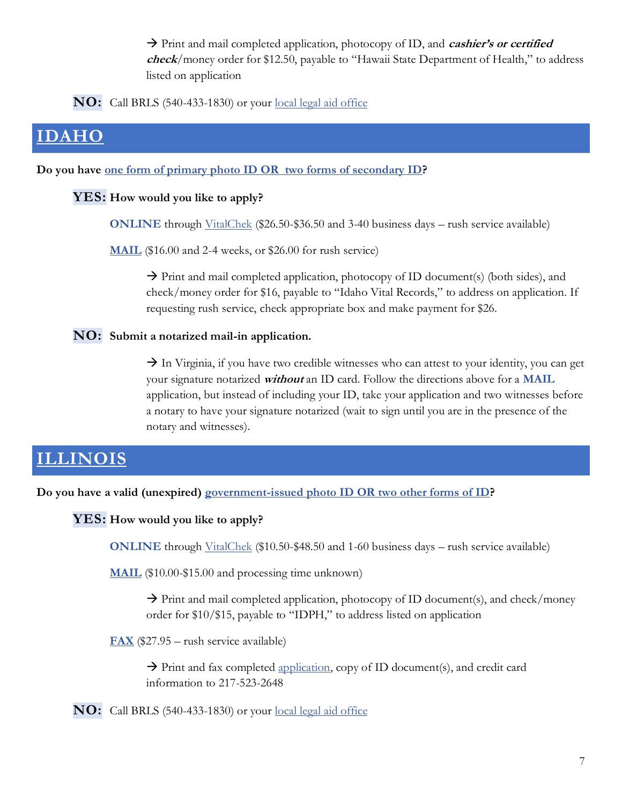→ Print and mail completed application, photocopy of ID, and *cashier's or certified* **check**/money order for \$12.50, payable to "Hawaii State Department of Health," to address listed on application

**NO:** Call BRLS (540-433-1830) or your <u>local legal aid office</u>

# <span id="page-7-0"></span>**[IDAHO](https://healthandwelfare.idaho.gov/services-programs/birth-marriage-death-records/order-record)**

**Do you have [one form of primary photo ID OR two forms of secondary ID?](https://publicdocuments.dhw.idaho.gov/WebLink/DocView.aspx?id=16024&dbid=0&repo=PUBLIC-DOCUMENTS&cr=1)**

### **YES: How would you like to apply?**

**ONLINE** through [VitalChek](https://www.vitalchek.com/birth-certificates/idaho/idaho-bureau-of-vital-records) (\$26.50-\$36.50 and 3-40 business days – rush service available)

**[MAIL](https://publicdocuments.dhw.idaho.gov/WebLink/ElectronicFile.aspx?docid=14722&dbid=0&repo=PUBLIC-DOCUMENTS)** (\$16.00 and 2-4 weeks, or \$26.00 for rush service)

 $\rightarrow$  Print and mail completed application, photocopy of ID document(s) (both sides), and check/money order for \$16, payable to "Idaho Vital Records," to address on application. If requesting rush service, check appropriate box and make payment for \$26.

### **NO: Submit a notarized mail-in application.**

 $\rightarrow$  In Virginia, if you have two credible witnesses who can attest to your identity, you can get your signature notarized **without** an ID card. Follow the directions above for a **MAIL** application, but instead of including your ID, take your application and two witnesses before a notary to have your signature notarized (wait to sign until you are in the presence of the notary and witnesses).

### <span id="page-7-1"></span>**[ILLINOIS](https://dph.illinois.gov/topics-services/birth-death-other-records/birth-records/obtain-birth-certificate)**

**Do you have a valid (unexpired) [government-issued photo ID OR two other forms of ID?](https://dph.illinois.gov/sites/default/files/resources/resources-obtain-birth/death-certificate/valid-government-issued-photo-id.pdf)**

#### **YES: How would you like to apply?**

**ONLINE** through [VitalChek](https://www.vitalchek.com/birth-certificates/illinois/illinois-dept-of-public-health) (\$10.50-\$48.50 and 1-60 business days – rush service available)

**[MAIL](https://dph.illinois.gov/sites/default/files/forms/formsoppsapplication-illinois-birth-record-2018.pdf)** (\$10.00-\$15.00 and processing time unknown)

 $\rightarrow$  Print and mail completed application, photocopy of ID document(s), and check/money order for \$10/\$15, payable to "IDPH," to address listed on application

**[FAX](https://dph.illinois.gov/sites/default/files/forms/formsoppsapplication-illinois-birth-record-2018.pdf)** (\$27.95 – rush service available)

 $\rightarrow$  Print and fax completed [application,](https://dph.illinois.gov/sites/default/files/forms/formsoppsapplication-illinois-birth-record-2018.pdf) copy of ID document(s), and credit card information to 217-523-2648

**NO:** Call BRLS (540-433-1830) or your [local legal aid office](https://virginia.freelegalanswers.org/OtherHelp)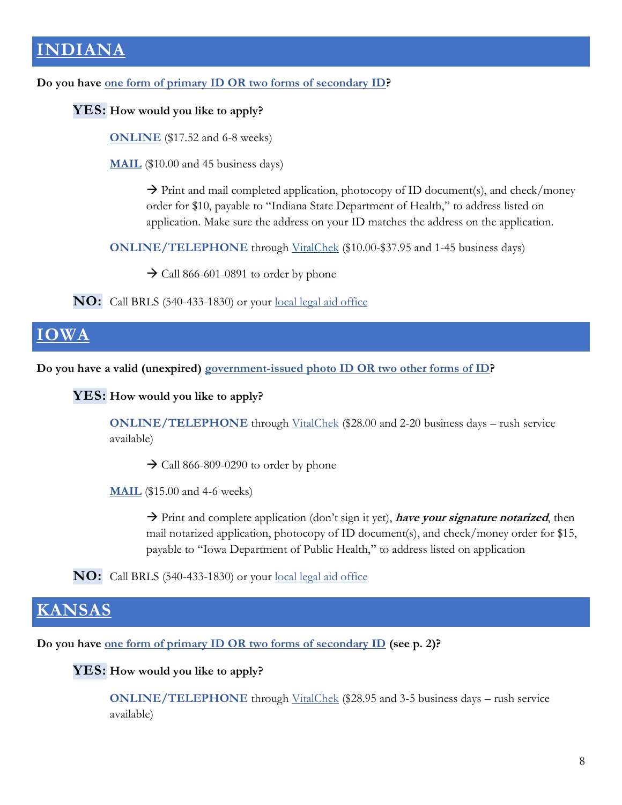# <span id="page-8-0"></span>**[INDIANA](https://www.in.gov/health/vital-records/order-now/)**

**Do you have [one form of primary ID OR two forms of secondary ID?](https://www.in.gov/health/vital-records/files/J2-Identification-and-Relationship-requirements.pdf)**

### **YES: How would you like to apply?**

**[ONLINE](https://vitalrecords.egov.com/CDC.VitalRecordsMVC.Web/Wizard/IN/Municipality/SelectMunicipality)** (\$17.52 and 6-8 weeks)

**[MAIL](https://www.in.gov/health/vital-records/files/Birth-Request-10.2018.doc)** (\$10.00 and 45 business days)

 $\rightarrow$  Print and mail completed application, photocopy of ID document(s), and check/money order for \$10, payable to "Indiana State Department of Health," to address listed on application. Make sure the address on your ID matches the address on the application.

**ONLINE/TELEPHONE** through [VitalChek](https://www.vitalchek.com/birth-certificates/indiana/indiana-state-dept-of-health) (\$10.00-\$37.95 and 1-45 business days)

 $\rightarrow$  Call 866-601-0891 to order by phone

**NO:** Call BRLS (540-433-1830) or your <u>local legal aid office</u>

# <span id="page-8-1"></span>**[IOWA](https://idph.iowa.gov/health-statistics/request-record#cert_online)**

**Do you have a valid (unexpired) [government-issued photo ID OR two other forms of ID?](https://idph.iowa.gov/Portals/1/userfiles/68/Portals/identity_docs_entitlement-notarization-20200811.pdf)**

### **YES: How would you like to apply?**

**ONLINE/TELEPHONE** through [VitalChek](https://www.vitalchek.com/birth-certificates/iowa/iowa-department-of-health) (\$28.00 and 2-20 business days – rush service available)

 $\rightarrow$  Call 866-809-0290 to order by phone

**[MAIL](https://idph.iowa.gov/Portals/1/userfiles/68/Forms/app_certified_copies_generic-20200101.pdf)** (\$15.00 and 4-6 weeks)

→ Print and complete application (don't sign it yet), **have your signature notarized**, then mail notarized application, photocopy of ID document(s), and check/money order for \$15, payable to "Iowa Department of Public Health," to address listed on application

**NO:** Call BRLS (540-433-1830) or your <u>local legal aid office</u>

### <span id="page-8-2"></span>**[KANSAS](https://www.kdheks.gov/vital/birth_howto.html)**

**Do you have [one form of primary ID OR two forms of secondary ID](https://www.kdheks.gov/vital/download/birth_fillable.pdf) (see p. 2)?**

### **YES: How would you like to apply?**

**ONLINE/TELEPHONE** through [VitalChek](https://www.vitalchek.com/birth-certificates/kansas/kansas-vital-statistics) (\$28.95 and 3-5 business days – rush service available)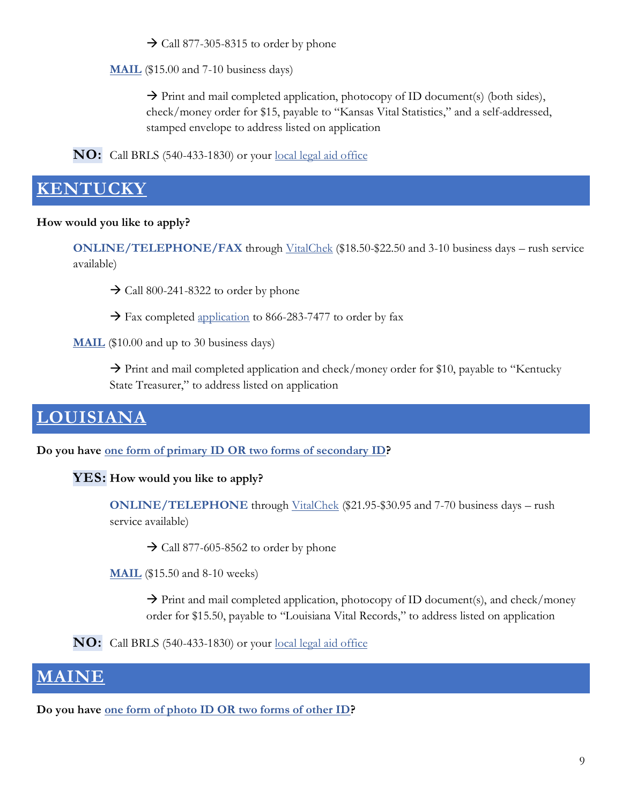$\rightarrow$  Call 877-305-8315 to order by phone

**[MAIL](https://www.kdheks.gov/vital/download/birth_fillable.pdf)** (\$15.00 and 7-10 business days)

 $\rightarrow$  Print and mail completed application, photocopy of ID document(s) (both sides), check/money order for \$15, payable to "Kansas Vital Statistics," and a self-addressed, stamped envelope to address listed on application

**NO:** Call BRLS (540-433-1830) or your <u>local legal aid office</u>

### <span id="page-9-0"></span>**[KENTUCKY](https://chfs.ky.gov/agencies/dph/dehp/vsb/Pages/birth-certificates.aspx)**

### **How would you like to apply?**

**ONLINE/TELEPHONE/FAX** through [VitalChek](https://www.vitalchek.com/birth-certificates/kentucky/kentucky-office-of-vital-statistics?click_id=857091737876627458&ppc=0) (\$18.50-\$22.50 and 3-10 business days – rush service available)

 $\rightarrow$  Call 800-241-8322 to order by phone

 $\rightarrow$  Fax completed [application](https://www.vitalchek.com/fax-phone/16401_birth.pdf?fax=8662837477&pid=47111&providerid=16401) to 866-283-7477 to order by fax

**[MAIL](https://chfs.ky.gov/agencies/dph/dehp/vsb/Forms/VS37BirthApp.pdf)** (\$10.00 and up to 30 business days)

 $\rightarrow$  Print and mail completed application and check/money order for \$10, payable to "Kentucky" State Treasurer," to address listed on application

# <span id="page-9-1"></span>**[LOUISIANA](https://ldh.la.gov/index.cfm/page/635)**

**Do you have [one form of primary ID OR](https://ldh.la.gov/index.cfm/page/636) two forms of secondary ID?**

### **YES: How would you like to apply?**

**ONLINE/TELEPHONE** through [VitalChek](https://www.vitalchek.com/birth-certificates/louisiana/louisiana-vital-records) (\$21.95-\$30.95 and 7-70 business days – rush service available)

 $\rightarrow$  Call 877-605-8562 to order by phone

**[MAIL](https://ldh.la.gov/assets/oph/Center-RS/vitalrec/Birth_DeathOrderingPacket.pdf)** (\$15.50 and 8-10 weeks)

 $\rightarrow$  Print and mail completed application, photocopy of ID document(s), and check/money order for \$15.50, payable to "Louisiana Vital Records," to address listed on application

**NO:** Call BRLS (540-433-1830) or your [local legal aid office](https://virginia.freelegalanswers.org/OtherHelp)

### <span id="page-9-2"></span>**[MAINE](https://www.maine.gov/dhhs/mecdc/public-health-systems/data-research/vital-records/order/index.shtml)**

**Do you have [one form of photo ID OR two forms of other ID?](https://www.maine.gov/dhhs/mecdc/public-health-systems/data-research/vital-records/order/access-id-photo-requirements.html)**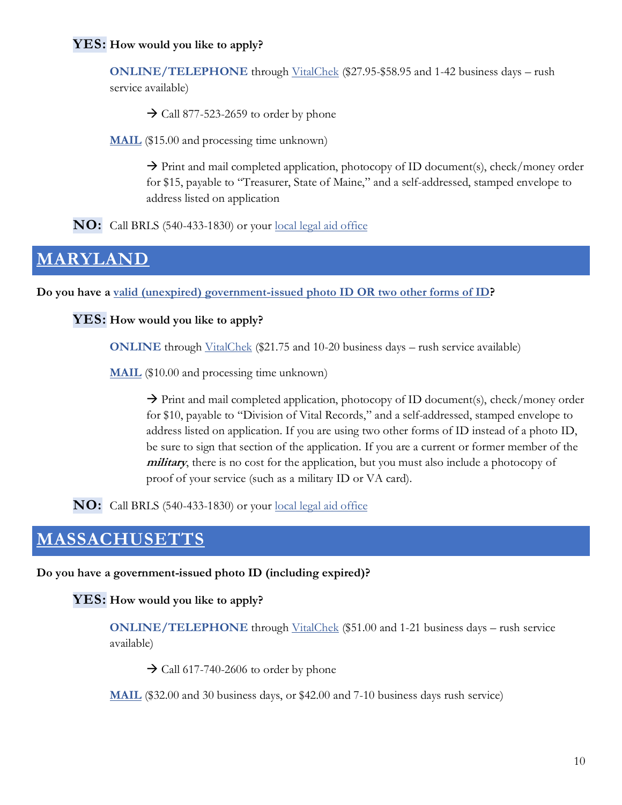### **YES: How would you like to apply?**

**ONLINE/TELEPHONE** through [VitalChek](https://www.vitalchek.com/birth-certificates/maine/maine-vital-records) (\$27.95-\$58.95 and 1-42 business days – rush service available)

 $\rightarrow$  Call 877-523-2659 to order by phone

**[MAIL](https://www.maine.gov/dhhs/mecdc/public-health-systems/data-research/vital-records/documents/pdf-files/vrform2.pdf)** (\$15.00 and processing time unknown)

 $\rightarrow$  Print and mail completed application, photocopy of ID document(s), check/money order for \$15, payable to "Treasurer, State of Maine," and a self-addressed, stamped envelope to address listed on application

**NO:** Call BRLS (540-433-1830) or your [local legal aid office](https://virginia.freelegalanswers.org/OtherHelp)

### <span id="page-10-0"></span>**[MARYLAND](https://health.maryland.gov/vsa/Pages/birth.aspx)**

**Do you have a [valid \(unexpired\) government-issued photo ID OR two other forms of ID?](https://health.maryland.gov/vsa/Pages/idreqs.aspx)**

**YES: How would you like to apply?**

**ONLINE** through [VitalChek](https://www.vitalchek.com/birth-certificates/maryland/maryland-vital-records) (\$21.75 and 10-20 business days – rush service available)

**[MAIL](https://health.maryland.gov/vsa/Documents/Certificates/Birth/birth%20cert%20appl_20170627.pdf)** (\$10.00 and processing time unknown)

→ Print and mail completed application, photocopy of ID document(s), check/money order for \$10, payable to "Division of Vital Records," and a self-addressed, stamped envelope to address listed on application. If you are using two other forms of ID instead of a photo ID, be sure to sign that section of the application. If you are a current or former member of the **military**, there is no cost for the application, but you must also include a photocopy of proof of your service (such as a military ID or VA card).

**NO:** Call BRLS (540-433-1830) or your [local legal aid office](https://virginia.freelegalanswers.org/OtherHelp)

### <span id="page-10-1"></span>**[MASSACHUSETTS](https://www.mass.gov/how-to/order-a-birth-marriage-or-death-certificate)**

**Do you have a government-issued photo ID (including expired)?**

**YES: How would you like to apply?**

**ONLINE/TELEPHONE** through [VitalChek](https://www.vitalchek.com/birth-certificates/massachusetts/massachusetts-vital-records) (\$51.00 and 1-21 business days – rush service available)

 $\rightarrow$  Call 617-740-2606 to order by phone

**[MAIL](https://www.mass.gov/files/2017-08/mail-order-form.pdf)** (\$32.00 and 30 business days, or \$42.00 and 7-10 business days rush service)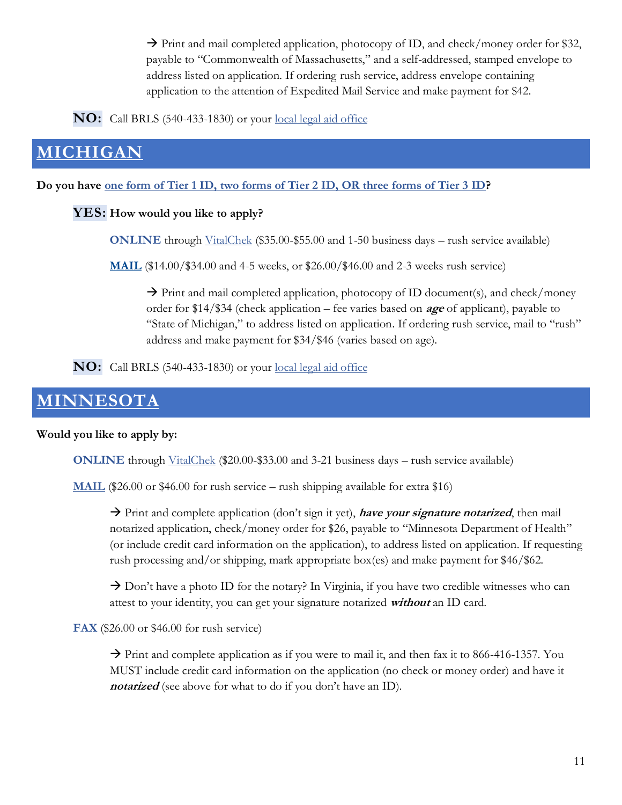$\rightarrow$  Print and mail completed application, photocopy of ID, and check/money order for \$32, payable to "Commonwealth of Massachusetts," and a self-addressed, stamped envelope to address listed on application. If ordering rush service, address envelope containing application to the attention of Expedited Mail Service and make payment for \$42.

**NO:** Call BRLS (540-433-1830) or your [local legal aid office](https://virginia.freelegalanswers.org/OtherHelp)

# <span id="page-11-0"></span>**[MICHIGAN](https://www.michigan.gov/mdhhs/0,5885,7-339-71551_4645_4702---,00.html)**

**Do you have [one form of Tier 1 ID, two forms of Tier 2 ID, OR three forms of Tier 3 ID?](https://www.michigan.gov/documents/mdch/Photo_ID_Alternative_Documents_345026_7.pdf)**

### **YES: How would you like to apply?**

**ONLINE** through [VitalChek](https://vitalchek.com/birth-certificates/michigan/michigan-vital-records) (\$35.00-\$55.00 and 1-50 business days – rush service available)

**[MAIL](https://www.michigan.gov/documents/birthapp_6360_7.PDF)** (\$14.00/\$34.00 and 4-5 weeks, or \$26.00/\$46.00 and 2-3 weeks rush service)

 $\rightarrow$  Print and mail completed application, photocopy of ID document(s), and check/money order for \$14/\$34 (check application – fee varies based on **age** of applicant), payable to "State of Michigan," to address listed on application. If ordering rush service, mail to "rush" address and make payment for \$34/\$46 (varies based on age).

**NO:** Call BRLS (540-433-1830) or your [local legal aid office](https://virginia.freelegalanswers.org/OtherHelp)

# <span id="page-11-1"></span>**[MINNESOTA](https://www.health.state.mn.us/people/vitalrecords/birth.html)**

### **Would you like to apply by:**

**ONLINE** through [VitalChek](https://www.vitalchek.com/birth-certificates/minnesota?click_id=1020628699345518594&ppc=0) (\$20.00-\$33.00 and 3-21 business days – rush service available)

**[MAIL](https://www.health.state.mn.us/people/vitalrecords/docs/bcappia.pdf)** (\$26.00 or \$46.00 for rush service – rush shipping available for extra \$16)

→ Print and complete application (don't sign it yet), **have your signature notarized**, then mail notarized application, check/money order for \$26, payable to "Minnesota Department of Health" (or include credit card information on the application), to address listed on application. If requesting rush processing and/or shipping, mark appropriate box(es) and make payment for \$46/\$62.

 $\rightarrow$  Don't have a photo ID for the notary? In Virginia, if you have two credible witnesses who can attest to your identity, you can get your signature notarized **without** an ID card.

**FAX** (\$26.00 or \$46.00 for rush service)

 $\rightarrow$  Print and complete application as if you were to mail it, and then fax it to 866-416-1357. You MUST include credit card information on the application (no check or money order) and have it **notarized** (see above for what to do if you don't have an ID).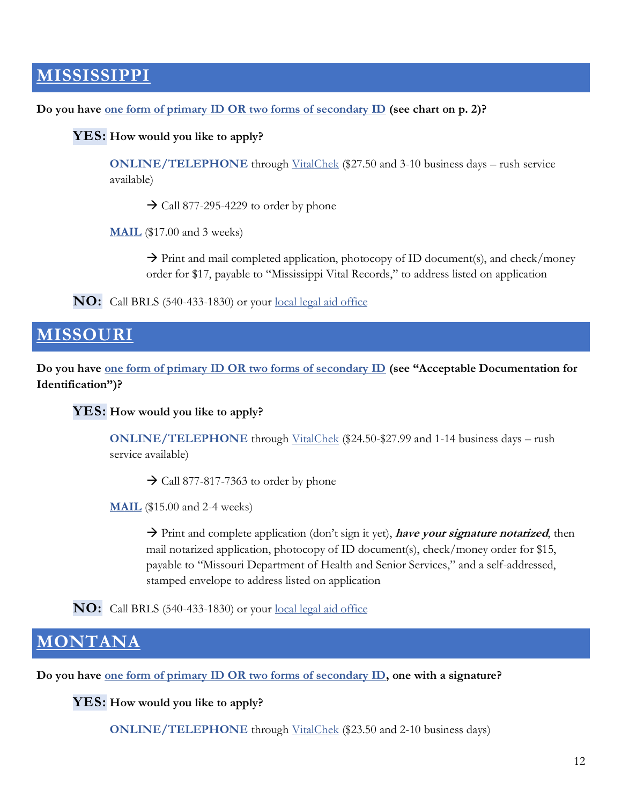### <span id="page-12-0"></span>**[MISSISSIPPI](https://msdh.ms.gov/msdhsite/_static/31,0,109,808.html)**

**Do you have [one form of primary ID OR](https://msdh.ms.gov/phs/forms/Form%20522E_201701.pdf) two forms of secondary ID (see chart on p. 2)?**

**YES: How would you like to apply?**

**ONLINE/TELEPHONE** through [VitalChek](https://www.vitalchek.com/birth-certificates/mississippi/mississippi-vital-records) (\$27.50 and 3-10 business days – rush service available)

 $\rightarrow$  Call 877-295-4229 to order by phone

**[MAIL](https://msdh.ms.gov/phs/forms/Form%20522E_201701.pdf)** (\$17.00 and 3 weeks)

 $\rightarrow$  Print and mail completed application, photocopy of ID document(s), and check/money order for \$17, payable to "Mississippi Vital Records," to address listed on application

**NO:** Call BRLS (540-433-1830) or your [local legal aid office](https://virginia.freelegalanswers.org/OtherHelp)

### <span id="page-12-1"></span>**[MISSOURI](https://health.mo.gov/data/vitalrecords/obtain-vital-record.php#obtain)**

**Do you have [one form of primary ID OR two forms of secondary ID](https://health.mo.gov/data/vitalrecords/obtain-vital-record.php#obtain) (see "Acceptable Documentation for Identification")?**

**YES: How would you like to apply?**

**ONLINE/TELEPHONE** through [VitalChek](https://www.vitalchek.com/birth-certificates/missouri/missouri-department-of-health-and-senior-services) (\$24.50-\$27.99 and 1-14 business days – rush service available)

 $\rightarrow$  Call 877-817-7363 to order by phone

**[MAIL](https://health.mo.gov/data/vitalrecords/pdf/birthdeath.pdf)** (\$15.00 and 2-4 weeks)

→ Print and complete application (don't sign it yet), **have your signature notarized**, then mail notarized application, photocopy of ID document(s), check/money order for \$15, payable to "Missouri Department of Health and Senior Services," and a self-addressed, stamped envelope to address listed on application

**NO:** Call BRLS (540-433-1830) or your [local legal aid office](https://virginia.freelegalanswers.org/OtherHelp)

### <span id="page-12-2"></span> $NTANA$

**Do you have [one form of primary ID OR two forms of secondary ID,](https://dphhs.mt.gov/Portals/85/Statistics/documents/VitalStats/suggestedidentification.pdf) one with a signature?**

**YES: How would you like to apply?**

**ONLINE/TELEPHONE** through [VitalChek](https://www.vitalchek.com/birth-certificates/montana/montana-vital-recordshs) (\$23.50 and 2-10 business days)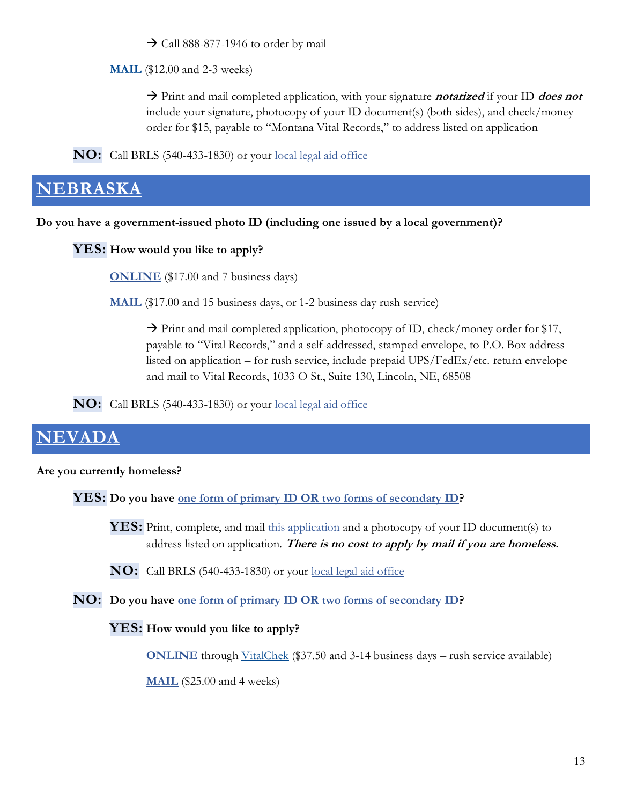$\rightarrow$  Call 888-877-1946 to order by mail

**[MAIL](https://dphhs.mt.gov/assets/Statistics/VitalStats/BirthApplication.pdf)** (\$12.00 and 2-3 weeks)

→ Print and mail completed application, with your signature **notarized** if your ID **does not** include your signature, photocopy of your ID document(s) (both sides), and check/money order for \$15, payable to "Montana Vital Records," to address listed on application

**NO:** Call BRLS (540-433-1830) or your [local legal aid office](https://virginia.freelegalanswers.org/OtherHelp)

### <span id="page-13-0"></span>**[NEBRASKA](https://dhhs.ne.gov/Pages/vital-records.aspx#SectionLink1)**

**Do you have a government-issued photo ID (including one issued by a local government)?**

**YES: How would you like to apply?**

**[ONLINE](https://nevitalrecords-dhhs.ne.gov/)** (\$17.00 and 7 business days)

**[MAIL](https://dhhs.ne.gov/Vital%20Records%20Documents/BirthCertificateApplication.pdf)** (\$17.00 and 15 business days, or 1-2 business day rush service)

 $\rightarrow$  Print and mail completed application, photocopy of ID, check/money order for \$17, payable to "Vital Records," and a self-addressed, stamped envelope, to P.O. Box address listed on application – for rush service, include prepaid UPS/FedEx/etc. return envelope and mail to Vital Records, 1033 O St., Suite 130, Lincoln, NE, 68508

**NO:** Call BRLS (540-433-1830) or your [local legal aid office](https://virginia.freelegalanswers.org/OtherHelp)

# <span id="page-13-1"></span>**[NEVADA](https://dpbh.nv.gov/Programs/BirthDeath/Birth_and_Death_Vital_Records_-_Home/)**

#### **Are you currently homeless?**

**YES:** Do you have <u>one form of primary ID OR two forms of secondary ID</u>?

YES: Print, complete, and mail [this application](https://dpbh.nv.gov/uploadedFiles/dpbh.nv.gov/content/Programs/BirthDeath/dta/Forms/Application%20-%20Homeless%20Birth%20Certificate%20Fillable%206-11-21.pdf) and a photocopy of your ID document(s) to address listed on application. **There is no cost to apply by mail if you are homeless.**

**NO:** Call BRLS (540-433-1830) or your [local legal aid office](https://virginia.freelegalanswers.org/OtherHelp)

**NO: Do you have [one form of primary ID OR two forms of secondary ID?](https://dpbh.nv.gov/uploadedFiles/dpbhnvgov/content/Programs/BirthDeath/Identity%20-%20Attachment%20B%20-%20Identification%20List%2001-28-20.pdf)**

### **YES: How would you like to apply?**

**ONLINE** through [VitalChek](https://vitalchek.com/birth-certificates/nevada/nevada-vital-records) (\$37.50 and 3-14 business days – rush service available)

**[MAIL](https://dpbh.nv.gov/uploadedFiles/dpbh.nv.gov/content/Programs/BirthDeath/dta/Forms/Application%20-%20Birth%20Certificate%20Revised%2004.07.21%20ADA%20PDF%20fillable.pdf)** (\$25.00 and 4 weeks)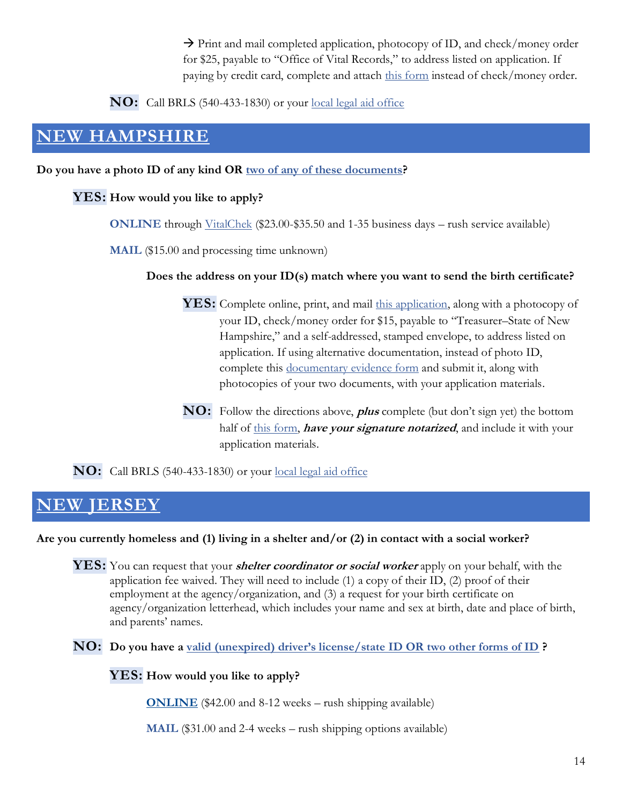$\rightarrow$  Print and mail completed application, photocopy of ID, and check/money order for \$25, payable to "Office of Vital Records," to address listed on application. If paying by credit card, complete and attach [this form](https://dpbh.nv.gov/uploadedFiles/dpbh.nv.gov/content/Programs/BirthDeath/dta/Forms/Fiscal%20-%20Authorization%20for%20Credit%20Card%20Use%20_fillable_02.09.21(1).pdf) instead of check/money order.

**NO:** Call BRLS (540-433-1830) or your [local legal aid office](https://virginia.freelegalanswers.org/OtherHelp)

### <span id="page-14-0"></span>**[NEW HAMPSHIRE](https://sos.nh.gov/archives-vital-records-records-management/vital-records/request-for-certificates/)**

**Do you have a photo ID of any kind OR [two of any of these documents?](https://sos.nh.gov/media/f5iphsov/vr206.pdf)**

### **YES: How would you like to apply?**

**ONLINE** through [VitalChek](https://www.vitalchek.com/birth-certificates/new-hampshire/new-hampshire-vital-records) (\$23.00-\$35.50 and 1-35 business days – rush service available)

**MAIL** (\$15.00 and processing time unknown)

### **Does the address on your ID(s) match where you want to send the birth certificate?**

**YES:** Complete online, print, and mail [this application,](https://sos.nh.gov/media/3ktptr0w/vr201.pdf) along with a photocopy of your ID, check/money order for \$15, payable to "Treasurer–State of New Hampshire," and a self-addressed, stamped envelope, to address listed on application. If using alternative documentation, instead of photo ID, complete this [documentary evidence form](https://sos.nh.gov/media/f5iphsov/vr206.pdf) and submit it, along with photocopies of your two documents, with your application materials.

**NO:** Follow the directions above, **plus** complete (but don't sign yet) the bottom half of [this form,](https://sos.nh.gov/media/bfxfllpg/vr207.pdf) **have your signature notarized**, and include it with your application materials.

**NO:** Call BRLS (540-433-1830) or your [local legal aid office](https://virginia.freelegalanswers.org/OtherHelp)

# <span id="page-14-1"></span>**[NEW JERSEY](https://www.state.nj.us/health/vital/order-vital/non-genealogical-records/)**

### **Are you currently homeless and (1) living in a shelter and/or (2) in contact with a social worker?**

**YES:** You can request that your **shelter coordinator or social worker** apply on your behalf, with the application fee waived. They will need to include (1) a copy of their ID, (2) proof of their employment at the agency/organization, and (3) a request for your birth certificate on agency/organization letterhead, which includes your name and sex at birth, date and place of birth, and parents' names.

**NO: Do you have a [valid \(unexpired\) driver's license/state ID OR two other forms of ID](https://www.state.nj.us/health/vital/contact-us/acceptable-identification/index.shtml) ?**

**YES: How would you like to apply?**

**[ONLINE](https://vitalrecords.egov.com/CDC.VitalRecordsMVC.Web/Wizard/NJ/Municipality/SelectMunicipality)** (\$42.00 and 8-12 weeks – rush shipping available)

**MAIL** (\$31.00 and 2-4 weeks – rush shipping options available)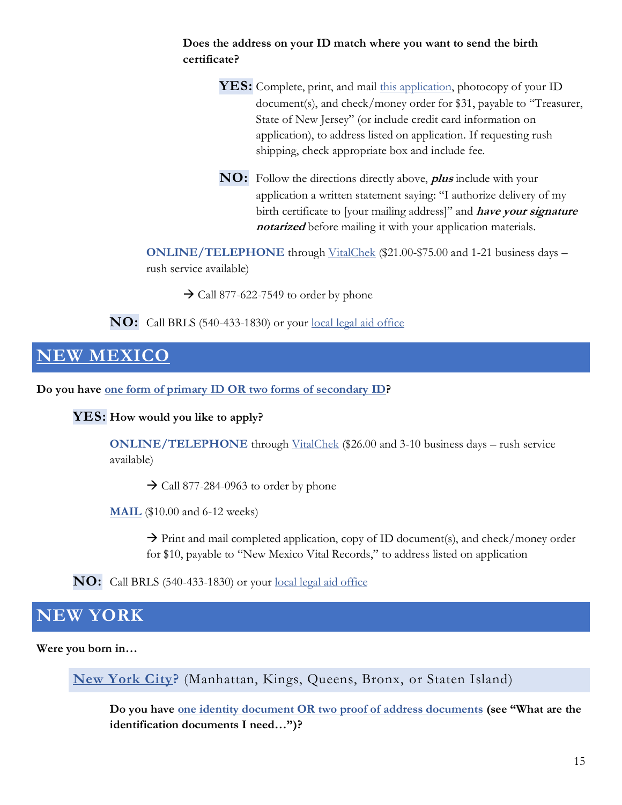### **Does the address on your ID match where you want to send the birth certificate?**

**YES:** Complete, print, and mail [this application,](https://www.nj.gov/health/forms/reg-27a.pdf) photocopy of your ID document(s), and check/money order for \$31, payable to "Treasurer, State of New Jersey" (or include credit card information on application), to address listed on application. If requesting rush shipping, check appropriate box and include fee.

**NO:** Follow the directions directly above, **plus** include with your application a written statement saying: "I authorize delivery of my birth certificate to [your mailing address]" and **have your signature notarized** before mailing it with your application materials.

**ONLINE/TELEPHONE** through [VitalChek](https://www.vitalchek.com/birth-certificates/new-jersey/new-jersey-vital-records) (\$21.00-\$75.00 and 1-21 business days – rush service available)

 $\rightarrow$  Call 877-622-7549 to order by phone

**NO:** Call BRLS (540-433-1830) or your [local legal aid office](https://virginia.freelegalanswers.org/OtherHelp)

# <span id="page-15-0"></span>**[NEW MEXICO](https://www.nmhealth.org/about/erd/bvrhs/vrp/birth/)**

**Do you have one form of [primary ID OR two forms of secondary ID?](https://www.nmhealth.org/publication/view/help/3238/)**

**YES: How would you like to apply?**

**ONLINE/TELEPHONE** through [VitalChek](https://www.vitalchek.com/birth-certificates/new-mexico/new-mexico-vital-records) (\$26.00 and 3-10 business days – rush service available)

 $\rightarrow$  Call 877-284-0963 to order by phone

**[MAIL](https://www.nmhealth.org/publication/view/form/607/)** (\$10.00 and 6-12 weeks)

 $\rightarrow$  Print and mail completed application, copy of ID document(s), and check/money order for \$10, payable to "New Mexico Vital Records," to address listed on application

**NO:** Call BRLS (540-433-1830) or your [local legal aid office](https://virginia.freelegalanswers.org/OtherHelp)

### <span id="page-15-1"></span>**NEW YORK**

**Were you born in…**

**[New York City?](https://www1.nyc.gov/site/doh/services/birth-certificates.page)** (Manhattan, Kings, Queens, Bronx, or Staten Island)

**Do you have [one identity document OR two proof of address documents](https://www1.nyc.gov/site/doh/services/birth-certificates.page) (see "What are the identification documents I need…")?**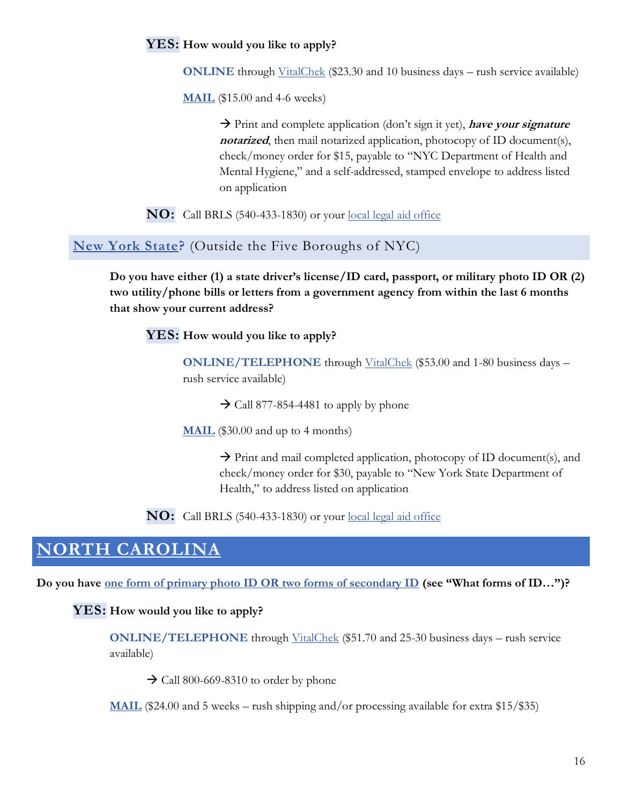### **YES: How would you like to apply?**

**ONLINE** through [VitalChek](https://www.vitalchek.com/birth-certificates/new-york/new-york-city-dept-of-health-and-mental-hygiene?click_id=855121413039652866&ppc=0) (\$23.30 and 10 business days – rush service available)

**[MAIL](https://www1.nyc.gov/assets/doh/downloads/pdf/vr/birth1.pdf)** (\$15.00 and 4-6 weeks)

→ Print and complete application (don't sign it yet), **have your signature**  *notarized*, then mail notarized application, photocopy of ID document(s), check/money order for \$15, payable to "NYC Department of Health and Mental Hygiene," and a self-addressed, stamped envelope to address listed on application

**NO:** Call BRLS (540-433-1830) or your [local legal aid office](https://virginia.freelegalanswers.org/OtherHelp)

**[New York State?](https://www.ny.gov/services/get-copy-birth-certificate)** (Outside the Five Boroughs of NYC)

**Do you have either (1) a state driver's license/ID card, passport, or military photo ID OR (2) two utility/phone bills or letters from a government agency from within the last 6 months that show your current address?**

**YES: How would you like to apply?**

**ONLINE/TELEPHONE** through [VitalChek](https://www.vitalchek.com/birth-certificates/new-york/ny-state-vital-records?click_id=571113161538207746&ppc=0) (\$53.00 and 1-80 business days – rush service available)

 $\rightarrow$  Call 877-854-4481 to apply by phone

**[MAIL](https://www.ny.gov/sites/default/files/atoms/files/doh-4380.pdf)** (\$30.00 and up to 4 months)

 $\rightarrow$  Print and mail completed application, photocopy of ID document(s), and check/money order for \$30, payable to "New York State Department of Health," to address listed on application

**NO:** Call BRLS (540-433-1830) or your [local legal aid office](https://virginia.freelegalanswers.org/OtherHelp)

### <span id="page-16-0"></span>**[NORTH CAROLINA](https://vitalrecords.nc.gov/order.htm)**

**Do you have one form of primary [photo ID OR two forms of secondary ID](https://vitalrecords.nc.gov/faqs.htm) (see "What forms of ID…")?**

#### **YES: How would you like to apply?**

**ONLINE/TELEPHONE** through [VitalChek](https://www.vitalchek.com/birth-certificates/north-carolina/north-carolina-vital-records) (\$51.70 and 25-30 business days – rush service available)

 $\rightarrow$  Call 800-669-8310 to order by phone

**[MAIL](https://vitalrecords.nc.gov/documents/ApplicationStandardVRFillableBirth122818.pdf)** (\$24.00 and 5 weeks – rush shipping and/or processing available for extra \$15/\$35)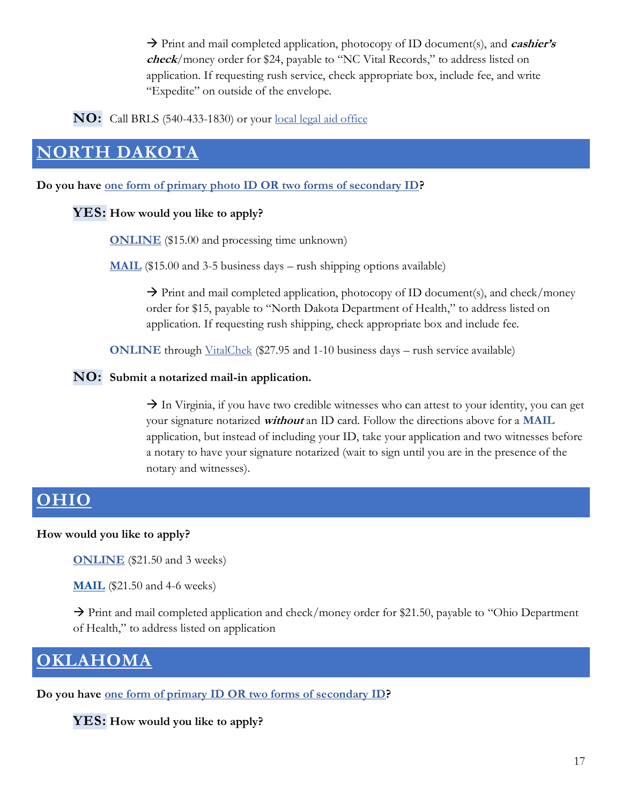→ Print and mail completed application, photocopy of ID document(s), and *cashier's* **check**/money order for \$24, payable to "NC Vital Records," to address listed on application. If requesting rush service, check appropriate box, include fee, and write "Expedite" on outside of the envelope.

**NO:** Call BRLS (540-433-1830) or your [local legal aid office](https://virginia.freelegalanswers.org/OtherHelp)

# <span id="page-17-0"></span>**[NORTH DAKOTA](https://www.health.nd.gov/vital/certified-copies-birth-records)**

**Do you have [one form of primary photo ID OR two forms of secondary ID?](https://www.health.nd.gov/vital/certified-copies-birth-records/birth-records-mail)**

### **YES: How would you like to apply?**

**[ONLINE](https://apps.nd.gov/doh/certificates/firstPage.htm)** (\$15.00 and processing time unknown)

**[MAIL](https://www.health.nd.gov/sites/www/files/documents/Files/Vital/SFN%208140.pdf)** (\$15.00 and 3-5 business days – rush shipping options available)

 $\rightarrow$  Print and mail completed application, photocopy of ID document(s), and check/money order for \$15, payable to "North Dakota Department of Health," to address listed on application. If requesting rush shipping, check appropriate box and include fee.

**ONLINE** through [VitalChek](https://www.vitalchek.com/birth-certificates/north-dakota/north-dakota-vital-records) (\$27.95 and 1-10 business days – rush service available)

#### **NO: Submit a notarized mail-in application.**

 $\rightarrow$  In Virginia, if you have two credible witnesses who can attest to your identity, you can get your signature notarized **without** an ID card. Follow the directions above for a **MAIL** application, but instead of including your ID, take your application and two witnesses before a notary to have your signature notarized (wait to sign until you are in the presence of the notary and witnesses).

# <span id="page-17-1"></span>**[OHIO](https://odh.ohio.gov/wps/portal/gov/odh/know-our-programs/vital-statistics/How-to-Order-Certificates)**

### **How would you like to apply?**

**[ONLINE](https://odhgateway.odh.ohio.gov/OrderBirthCertificates/)** (\$21.50 and 3 weeks)

**[MAIL](https://odh.ohio.gov/wps/wcm/connect/gov/a639af8b-d043-4f7d-8568-cd8889de2033/VS-ApplicationforCertifiedCopies2015.pdf?MOD=AJPERES&CONVERT_TO=url&CACHEID=ROOTWORKSPACE.Z18_M1HGGIK0N0JO00QO9DDDDM3000-a639af8b-d043-4f7d-8568-cd8889de2033-nj1Q4Lt)** (\$21.50 and 4-6 weeks)

 $\rightarrow$  Print and mail completed application and check/money order for \$21.50, payable to "Ohio Department" of Health," to address listed on application

### <span id="page-17-2"></span>**[OKLAHOMA](https://oklahoma.gov/health/birth-and-death-certificates/birth-certificates.html)**

**Do you have [one form of primary ID OR two forms of secondary ID?](https://oklahoma.gov/health/birth-and-death-certificates/acceptable-identification.html)** 

**YES: How would you like to apply?**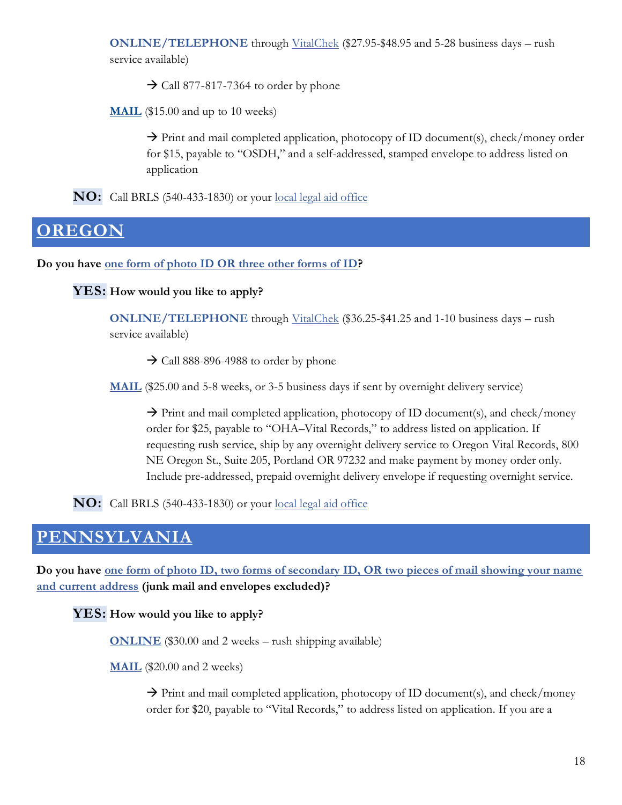**ONLINE/TELEPHONE** through [VitalChek](https://www.vitalchek.com/birth-certificates/oklahoma/oklahoma-vital-records) (\$27.95-\$48.95 and 5-28 business days – rush service available)

 $\rightarrow$  Call 877-817-7364 to order by phone

**[MAIL](https://oklahoma.gov/content/dam/ok/en/health/health2/documents/18008vr-vr-birth-application-eng-eform.pdf)** (\$15.00 and up to 10 weeks)

 $\rightarrow$  Print and mail completed application, photocopy of ID document(s), check/money order for \$15, payable to "OSDH," and a self-addressed, stamped envelope to address listed on application

**NO:** Call BRLS (540-433-1830) or your [local legal aid office](https://virginia.freelegalanswers.org/OtherHelp)

### <span id="page-18-0"></span>**[OREGON](https://www.oregon.gov/oha/PH/BirthDeathCertificates/GetVitalRecords/Pages/index.aspx)**

**Do you have [one form of photo ID OR three other forms of ID?](https://www.oregon.gov/oha/PH/BIRTHDEATHCERTIFICATES/GETVITALRECORDS/Documents/iddocs.pdf)**

**YES: How would you like to apply?**

**ONLINE/TELEPHONE** through [VitalChek](https://www.vitalchek.com/birth-certificates/oregon/oregon-vital-records) (\$36.25-\$41.25 and 1-10 business days – rush service available)

 $\rightarrow$  Call 888-896-4988 to order by phone

**[MAIL](https://www.oregon.gov/oha/PH/BIRTHDEATHCERTIFICATES/GETVITALRECORDS/Documents/birthor.pdf)** (\$25.00 and 5-8 weeks, or 3-5 business days if sent by overnight delivery service)

 $\rightarrow$  Print and mail completed application, photocopy of ID document(s), and check/money order for \$25, payable to "OHA–Vital Records," to address listed on application. If requesting rush service, ship by any overnight delivery service to Oregon Vital Records, 800 NE Oregon St., Suite 205, Portland OR 97232 and make payment by money order only. Include pre-addressed, prepaid overnight delivery envelope if requesting overnight service.

**NO:** Call BRLS (540-433-1830) or your [local legal aid office](https://virginia.freelegalanswers.org/OtherHelp)

### <span id="page-18-1"></span>**[PENNSYLVANIA](https://www.health.pa.gov/topics/certificates/Pages/Birth-Certificates.aspx)**

**Do you have [one form of photo ID, two forms of secondary ID, OR two pieces of mail showing your name](https://www.health.pa.gov/topics/certificates/Pages/Acceptable-ID.aspx)  [and current address](https://www.health.pa.gov/topics/certificates/Pages/Acceptable-ID.aspx) (junk mail and envelopes excluded)?**

**YES: How would you like to apply?**

**[ONLINE](https://mycertificates.health.pa.gov/pastorefront/customer/pa/paHome.xhtml)** (\$30.00 and 2 weeks – rush shipping available)

**[MAIL](https://www.health.pa.gov/topics/Documents/Certificates%20and%20Records/Application_for_a_Birth_Certificate.pdf)** (\$20.00 and 2 weeks)

 $\rightarrow$  Print and mail completed application, photocopy of ID document(s), and check/money order for \$20, payable to "Vital Records," to address listed on application. If you are a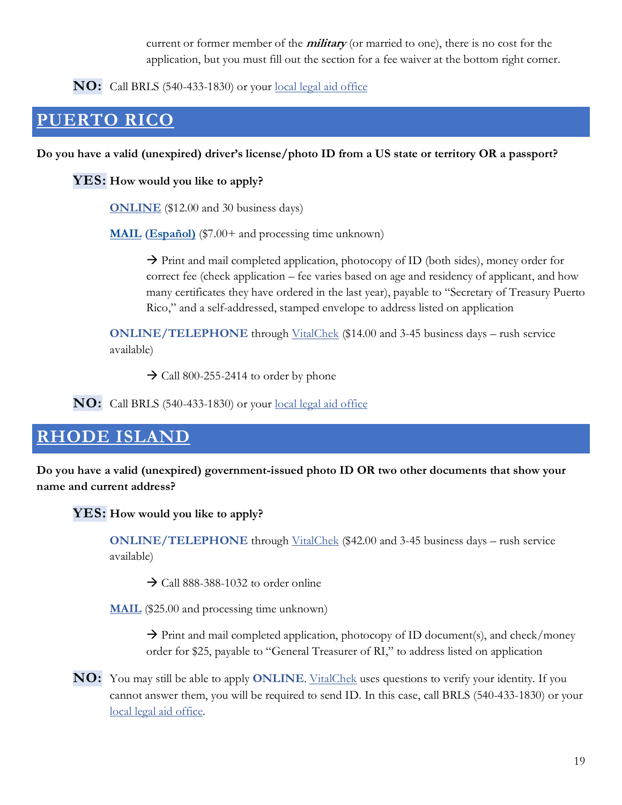current or former member of the **military** (or married to one), there is no cost for the application, but you must fill out the section for a fee waiver at the bottom right corner.

**NO:** Call BRLS (540-433-1830) or your [local legal aid office](https://virginia.freelegalanswers.org/OtherHelp)

# <span id="page-19-0"></span>**[PUERTO RICO](http://salud.gov.pr/Servicios-al-Ciudadano/Pages/Registro-Demografico.aspx#vital)**

### **Do you have a valid (unexpired) driver's license/photo ID from a US state or territory OR a passport?**

**YES: How would you like to apply?**

**[ONLINE](https://gobiernodigital.pr.gov/transaction-type/4812)** (\$12.00 and 30 business days)

**[MAIL](http://salud.gov.pr/Servicios-al-Ciudadano/Documents/RD-225%20Puerto%20Rico%20Mail%20In%20%20Birth%20Certification%20Application%20%20%20English%20-%20Rev%2002.2020.pdf) [\(Español\)](http://salud.gov.pr/Servicios-al-Ciudadano/Documents/RD-225%20Solicitud%20por%20Correo%20de%20Certificaci%c3%b3n%20de%20Nacimiento%20%20Espa%c3%b1ol%20-%20Rev%2002.2020.pdf)** (\$7.00+ and processing time unknown)

 $\rightarrow$  Print and mail completed application, photocopy of ID (both sides), money order for correct fee (check application – fee varies based on age and residency of applicant, and how many certificates they have ordered in the last year), payable to "Secretary of Treasury Puerto Rico," and a self-addressed, stamped envelope to address listed on application

**ONLINE/TELEPHONE** through [VitalChek](https://www.vitalchek.com/birth-certificates/puerto-rico/puerto-rico-department-of-health) (\$14.00 and 3-45 business days – rush service available)

 $\rightarrow$  Call 800-255-2414 to order by phone

**NO:** Call BRLS (540-433-1830) or your [local legal aid office](https://virginia.freelegalanswers.org/OtherHelp)

# <span id="page-19-1"></span>**[RHODE ISLAND](https://health.ri.gov/records/about/copies/)**

**Do you have a valid (unexpired) government-issued photo ID OR two other documents that show your name and current address?**

**YES: How would you like to apply?**

**ONLINE/TELEPHONE** through [VitalChek](https://www.vitalchek.com/birth-certificates/rhode-island/rhode-island-dept-of-health) (\$42.00 and 3-45 business days – rush service available)

 $\rightarrow$  Call 888-388-1032 to order online

**[MAIL](https://health.ri.gov/forms/recordrequest/Birth.doc)** (\$25.00 and processing time unknown)

 $\rightarrow$  Print and mail completed application, photocopy of ID document(s), and check/money order for \$25, payable to "General Treasurer of RI," to address listed on application

**NO:** You may still be able to apply **ONLINE**[. VitalChek](https://www.vitalchek.com/birth-certificates/rhode-island/rhode-island-dept-of-health) uses questions to verify your identity. If you cannot answer them, you will be required to send ID. In this case, call BRLS (540-433-1830) or your [local legal aid office.](https://virginia.freelegalanswers.org/OtherHelp)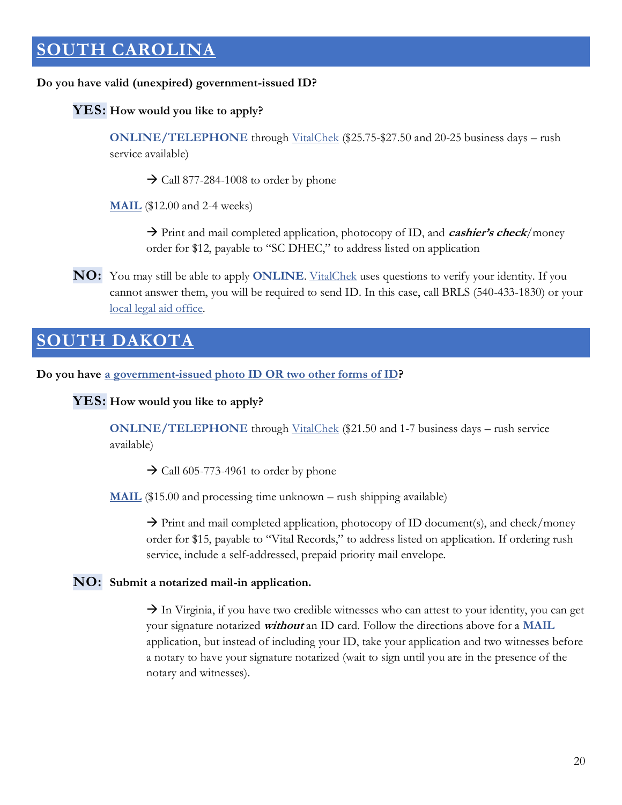# <span id="page-20-0"></span>**[SOUTH CAROLINA](https://scdhec.gov/vital-records/birth-certificates#2)**

#### **Do you have valid (unexpired) government-issued ID?**

#### **YES: How would you like to apply?**

**ONLINE/TELEPHONE** through [VitalChek](https://www.vitalchek.com/birth-certificates/south-carolina/south-carolina-vital-records) (\$25.75-\$27.50 and 20-25 business days – rush service available)

 $\rightarrow$  Call 877-284-1008 to order by phone

**[MAIL](https://scdhec.gov/sites/default/files/Library/D-2595.pdf)** (\$12.00 and 2-4 weeks)

→ Print and mail completed application, photocopy of ID, and **cashier's check**/money order for \$12, payable to "SC DHEC," to address listed on application

**NO:** You may still be able to apply **ONLINE**. <u>VitalChek</u> uses questions to verify your identity. If you cannot answer them, you will be required to send ID. In this case, call BRLS (540-433-1830) or your [local legal aid office.](https://virginia.freelegalanswers.org/OtherHelp)

### <span id="page-20-1"></span>**TH DAKOTA**

**Do you have [a government-issued photo ID OR two other forms of ID?](https://doh.sd.gov/records/ID-requirements.aspx?)**

**YES: How would you like to apply?**

**ONLINE/TELEPHONE** through [VitalChek](https://www.vitalchek.com/birth-certificates/south-dakota/south-dakota-vital-records) (\$21.50 and 1-7 business days – rush service available)

 $\rightarrow$  Call 605-773-4961 to order by phone

**[MAIL](https://doh.sd.gov/documents/Records/StateApplication.pdf)** (\$15.00 and processing time unknown – rush shipping available)

 $\rightarrow$  Print and mail completed application, photocopy of ID document(s), and check/money order for \$15, payable to "Vital Records," to address listed on application. If ordering rush service, include a self-addressed, prepaid priority mail envelope.

#### **NO: Submit a notarized mail-in application.**

 $\rightarrow$  In Virginia, if you have two credible witnesses who can attest to your identity, you can get your signature notarized **without** an ID card. Follow the directions above for a **MAIL** application, but instead of including your ID, take your application and two witnesses before a notary to have your signature notarized (wait to sign until you are in the presence of the notary and witnesses).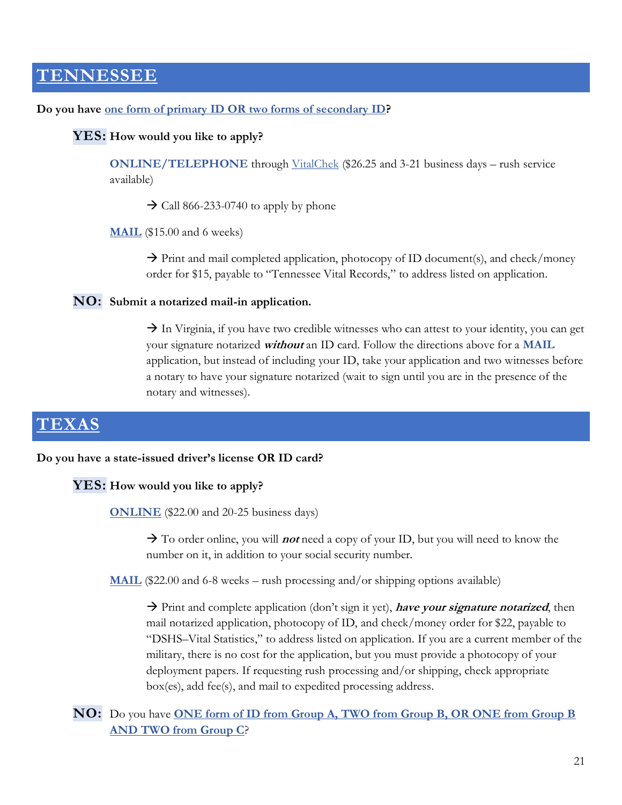### <span id="page-21-0"></span>**[TENNESSEE](https://www.tn.gov/content/tn/health/health-program-areas/vital-records/certificate.html#mail)**

#### **Do you have [one form of primary ID OR two forms of secondary ID?](https://www.tn.gov/content/tn/health/health-program-areas/vital-records/id.html)**

#### **YES: How would you like to apply?**

**ONLINE/TELEPHONE** through [VitalChek](https://www.vitalchek.com/birth-certificates/tennessee/tennessee-vital-records) (\$26.25 and 3-21 business days – rush service available)

 $\rightarrow$  Call 866-233-0740 to apply by phone

**[MAIL](https://www.tn.gov/content/dam/tn/health/documents/vital-records/PH-1654-Application-For-Certificate-of-Birth.pdf)** (\$15.00 and 6 weeks)

 $\rightarrow$  Print and mail completed application, photocopy of ID document(s), and check/money order for \$15, payable to "Tennessee Vital Records," to address listed on application.

#### **NO: Submit a notarized mail-in application.**

 $\rightarrow$  In Virginia, if you have two credible witnesses who can attest to your identity, you can get your signature notarized **without** an ID card. Follow the directions above for a **MAIL** application, but instead of including your ID, take your application and two witnesses before a notary to have your signature notarized (wait to sign until you are in the presence of the notary and witnesses).

### <span id="page-21-1"></span>**[TEXAS](https://www.dshs.texas.gov/vs/birth/)**

#### **Do you have a state-issued driver's license OR ID card?**

#### **YES: How would you like to apply?**

**[ONLINE](https://ovra.txapps.texas.gov/ovra/order-vital-records)** (\$22.00 and 20-25 business days)

→ To order online, you will *not* need a copy of your ID, but you will need to know the number on it, in addition to your social security number.

**[MAIL](https://dshs.texas.gov/vs/doc/Texas-Birth-Certificate-Application.pdf)** (\$22.00 and 6-8 weeks – rush processing and/or shipping options available)

→ Print and complete application (don't sign it yet), **have your signature notarized**, then mail notarized application, photocopy of ID, and check/money order for \$22, payable to "DSHS–Vital Statistics," to address listed on application. If you are a current member of the military, there is no cost for the application, but you must provide a photocopy of your deployment papers. If requesting rush processing and/or shipping, check appropriate box(es), add fee(s), and mail to expedited processing address.

**NO:** Do you have **[ONE form of ID from Group A, TWO from Group B, OR ONE from Group B](https://www.dshs.texas.gov/vs/identification.aspx)  [AND TWO from Group C](https://www.dshs.texas.gov/vs/identification.aspx)**?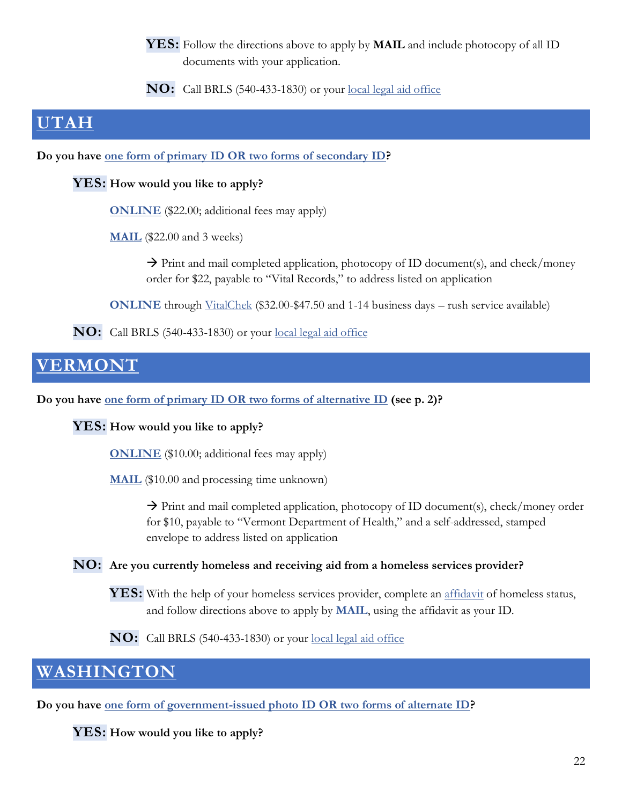**YES:** Follow the directions above to apply by **MAIL** and include photocopy of all ID documents with your application.

**NO:** Call BRLS (540-433-1830) or your [local legal aid office](https://virginia.freelegalanswers.org/OtherHelp)

### <span id="page-22-0"></span>**[UTAH](https://vitalrecords.health.utah.gov/certificates/order-a-vital-record-certificate#inperson)**

**Do you have [one form of primary ID OR two forms of secondary ID?](https://vitalrecords.health.utah.gov/wp-content/uploads/ID-list.pdf)**

### **YES: How would you like to apply?**

**[ONLINE](https://secure.utah.gov/vitalrecords/index.html)** (\$22.00; additional fees may apply)

**[MAIL](https://vitalrecords.health.utah.gov/wp-content/uploads/104-Birth-Certif-ApplicationRcpt.pdf)** (\$22.00 and 3 weeks)

 $\rightarrow$  Print and mail completed application, photocopy of ID document(s), and check/money order for \$22, payable to "Vital Records," to address listed on application

**ONLINE** through [VitalChek](https://vitalchek.com/birth-certificates/utah/utah-department-of-health) (\$32.00-\$47.50 and 1-14 business days – rush service available)

**NO:** Call BRLS (540-433-1830) or your [local legal aid office](https://virginia.freelegalanswers.org/OtherHelp)

# <span id="page-22-1"></span>**[VERMONT](https://www.healthvermont.gov/health-statistics-vital-records/vital-records-population-data/birth)**

**Do you have one form of primary [ID OR two forms of alternative](https://www.healthvermont.gov/sites/default/files/documents/pdf/HS_VR_App_Certified-Copy-Birth-Death-Form.pdf) ID (see p. 2)?**

**YES: How would you like to apply?**

**[ONLINE](https://secure.vermont.gov/VSARA/vitalrecords/)** (\$10.00; additional fees may apply)

**[MAIL](https://www.healthvermont.gov/sites/default/files/documents/pdf/HS_VR_App_Certified-Copy-Birth-Death-Form.pdf)** (\$10.00 and processing time unknown)

 $\rightarrow$  Print and mail completed application, photocopy of ID document(s), check/money order for \$10, payable to "Vermont Department of Health," and a self-addressed, stamped envelope to address listed on application

### **NO: Are you currently homeless and receiving aid from a homeless services provider?**

**YES:** With the help of your homeless services provider, complete an [affidavit](https://www.healthvermont.gov/sites/default/files/documents/pdf/HS-VR-Affidavit-Homeless-Status-Form.pdf) of homeless status, and follow directions above to apply by **MAIL**, using the affidavit as your ID.

**NO:** Call BRLS (540-433-1830) or your [local legal aid office](https://virginia.freelegalanswers.org/OtherHelp)

# <span id="page-22-2"></span>**[WASHINGTON](https://www.doh.wa.gov/LicensesPermitsandCertificates/VitalRecords/orderingabirthrecord#heading58288)**

**Do you have [one form of government-issued photo ID OR two forms of alternate ID?](https://www.doh.wa.gov/Portals/1/Documents/Pubs/422-177-AcceptableProofsOfIdentityDocuments.pdf)**

**YES: How would you like to apply?**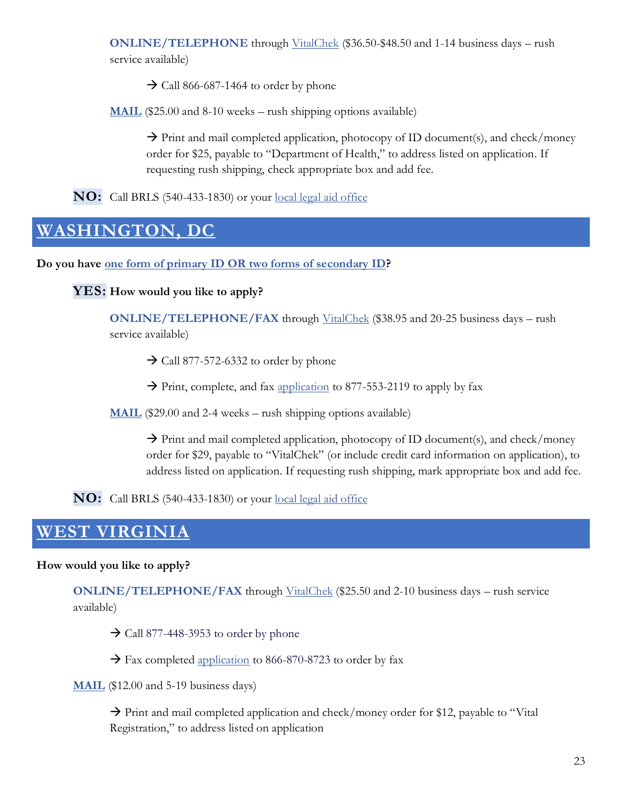**ONLINE/TELEPHONE** through [VitalChek](https://www.vitalchek.com/birth-certificates/washington/washington-state-center-for-health-statistics) (\$36.50-\$48.50 and 1-14 business days – rush service available)

 $\rightarrow$  Call 866-687-1464 to order by phone

**[MAIL](https://www.doh.wa.gov/Portals/1/Documents/Pubs/422-182-BirthCertificateOrderForm.pdf?ver=2021-07-14-140643-813)** (\$25.00 and 8-10 weeks – rush shipping options available)

 $\rightarrow$  Print and mail completed application, photocopy of ID document(s), and check/money order for \$25, payable to "Department of Health," to address listed on application. If requesting rush shipping, check appropriate box and add fee.

**NO:** Call BRLS (540-433-1830) or your [local legal aid office](https://virginia.freelegalanswers.org/OtherHelp)

# <span id="page-23-0"></span>**[WASHINGTON, DC](https://dchealth.dc.gov/service/birth-certificates)**

**Do you have [one form of primary ID OR two forms of secondary ID?](https://www.vitalchek.com/Fax-Phone/DC_Birth_Application.pdf)**

**YES: How would you like to apply?**

**ONLINE/TELEPHONE/FAX** through [VitalChek](https://www.vitalchek.com/birth-certificates/district-of-columbia/dc-vital-records) (\$38.95 and 20-25 business days – rush service available)

 $\rightarrow$  Call 877-572-6332 to order by phone

 $\rightarrow$  Print, complete, and fax [application](https://www.vitalchek.com/fax-phone/faxphone.aspx?pid=15310&prod_id=14711) to 877-553-2119 to apply by fax

**[MAIL](https://www.vitalchek.com/Fax-Phone/DC_Birth_Application.pdf)** (\$29.00 and 2-4 weeks – rush shipping options available)

 $\rightarrow$  Print and mail completed application, photocopy of ID document(s), and check/money order for \$29, payable to "VitalChek" (or include credit card information on application), to address listed on application. If requesting rush shipping, mark appropriate box and add fee.

**NO:** Call BRLS (540-433-1830) or your [local legal aid office](https://virginia.freelegalanswers.org/OtherHelp)

### <span id="page-23-1"></span>**[WEST VIRGINIA](https://www.wvdhhr.org/bph/hsc/vital/birthcert.asp)**

#### **How would you like to apply?**

**ONLINE/TELEPHONE/FAX** through [VitalChek](https://www.vitalchek.com/birth-certificates/west-virginia/west-virginia-vital-registration) (\$25.50 and 2-10 business days – rush service available)

 $\rightarrow$  Call 877-448-3953 to order by phone

 $\rightarrow$  Fax completed [application](https://www.wvdhhr.org/bph/hsc/vital/forms/birthfm.pdf) to 866-870-8723 to order by fax

**[MAIL](https://www.wvdhhr.org/bph/hsc/vital/forms/birthfm.pdf)** (\$12.00 and 5-19 business days)

 $\rightarrow$  Print and mail completed application and check/money order for \$12, payable to "Vital" Registration," to address listed on application